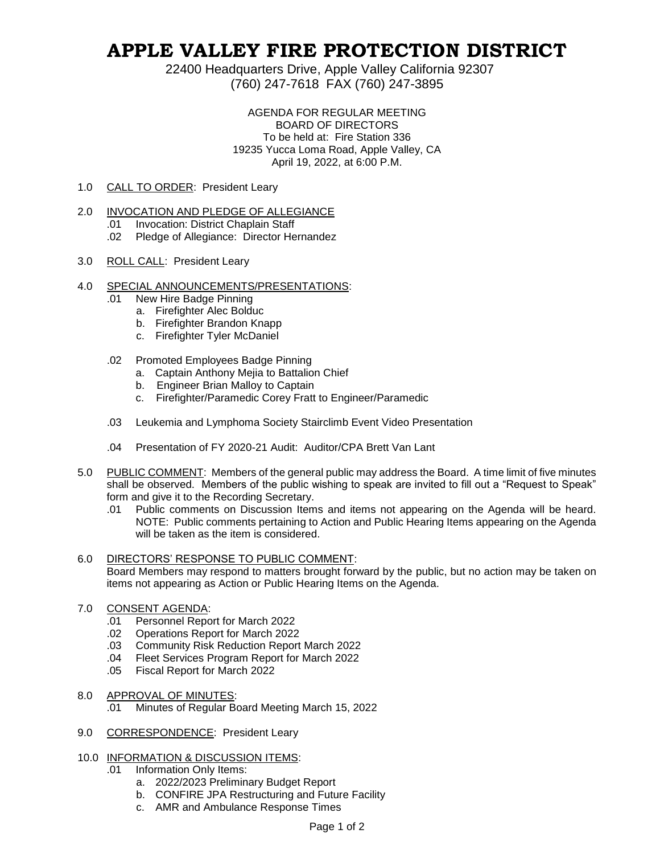## **APPLE VALLEY FIRE PROTECTION DISTRICT**

22400 Headquarters Drive, Apple Valley California 92307 (760) 247-7618 FAX (760) 247-3895

> AGENDA FOR REGULAR MEETING BOARD OF DIRECTORS To be held at: Fire Station 336 19235 Yucca Loma Road, Apple Valley, CA April 19, 2022, at 6:00 P.M.

- 1.0 CALL TO ORDER: President Leary
- 2.0 INVOCATION AND PLEDGE OF ALLEGIANCE
	- .01 Invocation: District Chaplain Staff
	- .02 Pledge of Allegiance: Director Hernandez
- 3.0 ROLL CALL: President Leary
- 4.0 SPECIAL ANNOUNCEMENTS/PRESENTATIONS:
	- .01 New Hire Badge Pinning
		- a. Firefighter Alec Bolduc
		- b. Firefighter Brandon Knapp
		- c. Firefighter Tyler McDaniel
	- .02 Promoted Employees Badge Pinning
		- a. Captain Anthony Mejia to Battalion Chief
		- b. Engineer Brian Malloy to Captain
		- c. Firefighter/Paramedic Corey Fratt to Engineer/Paramedic
	- .03 Leukemia and Lymphoma Society Stairclimb Event Video Presentation
	- .04 Presentation of FY 2020-21 Audit: Auditor/CPA Brett Van Lant
- 5.0 PUBLIC COMMENT: Members of the general public may address the Board. A time limit of five minutes shall be observed. Members of the public wishing to speak are invited to fill out a "Request to Speak" form and give it to the Recording Secretary.
	- .01 Public comments on Discussion Items and items not appearing on the Agenda will be heard. NOTE: Public comments pertaining to Action and Public Hearing Items appearing on the Agenda will be taken as the item is considered.

## 6.0 DIRECTORS' RESPONSE TO PUBLIC COMMENT:

Board Members may respond to matters brought forward by the public, but no action may be taken on items not appearing as Action or Public Hearing Items on the Agenda.

- 7.0 CONSENT AGENDA:
	- .01 Personnel Report for March 2022
	- .02 Operations Report for March 2022
	- .03 Community Risk Reduction Report March 2022
	- .04 Fleet Services Program Report for March 2022
	- .05 Fiscal Report for March 2022
- 8.0 APPROVAL OF MINUTES:
	- .01 Minutes of Regular Board Meeting March 15, 2022
- 9.0 CORRESPONDENCE: President Leary
- 10.0 INFORMATION & DISCUSSION ITEMS:
	- .01 Information Only Items:
		- a. 2022/2023 Preliminary Budget Report
		- b. CONFIRE JPA Restructuring and Future Facility
		- c. AMR and Ambulance Response Times